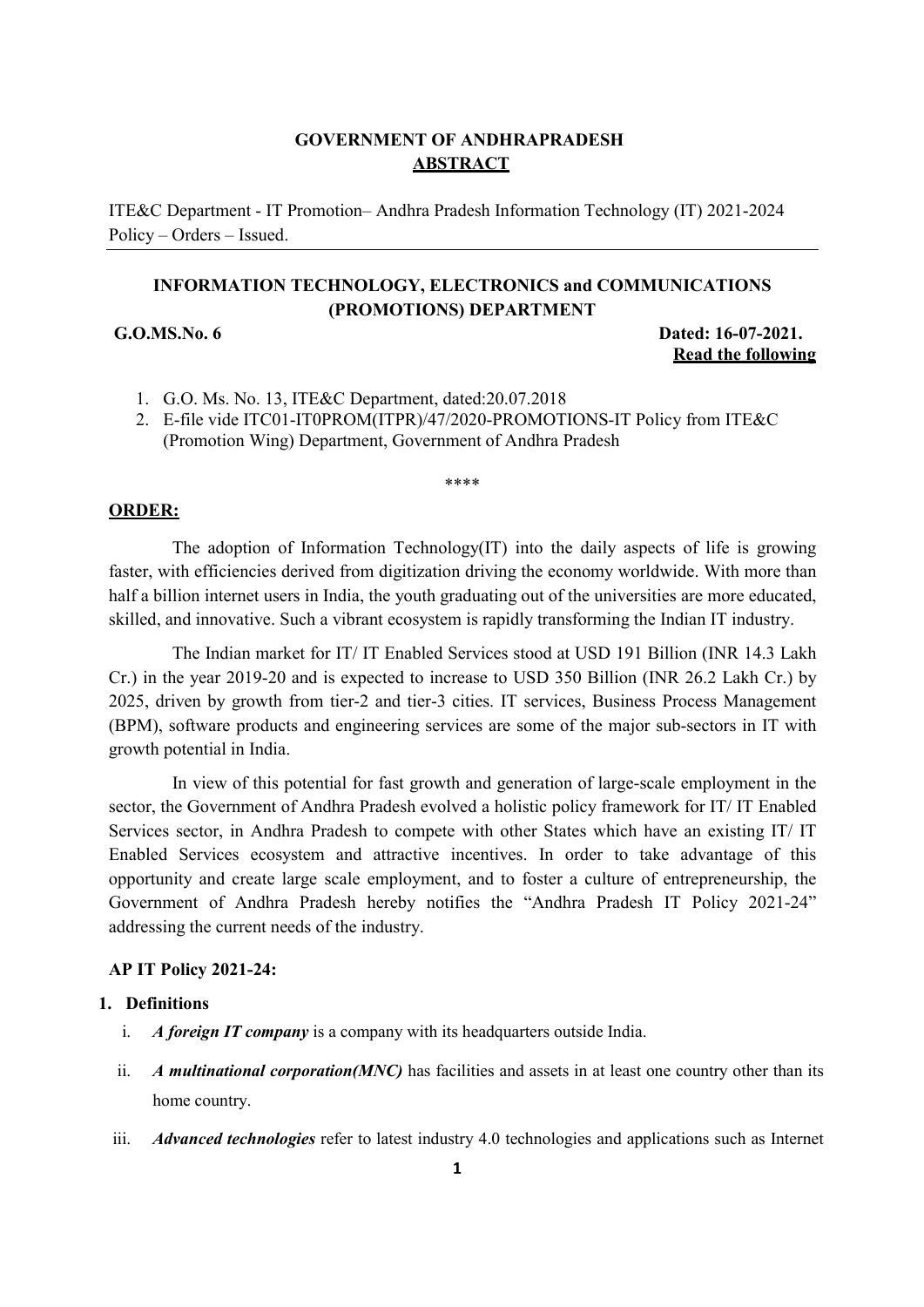# **GOVERNMENT OF ANDHRAPRADESH ABSTRACT**

ITE&C Department - IT Promotion– Andhra Pradesh Information Technology (IT) 2021-2024 Policy – Orders – Issued.

# **INFORMATION TECHNOLOGY, ELECTRONICS and COMMUNICATIONS (PROMOTIONS) DEPARTMENT**

**G.O.MS.No. 6 Dated: 16-07-2021. Read the following**

- 1. G.O. Ms. No. 13, ITE&C Department, dated:20.07.2018
- 2. E-file vide ITC01-IT0PROM(ITPR)/47/2020-PROMOTIONS-IT Policy from ITE&C (Promotion Wing) Department, Government of Andhra Pradesh

\*\*\*\*

#### **ORDER:**

The adoption of Information Technology(IT) into the daily aspects of life is growing faster, with efficiencies derived from digitization driving the economy worldwide. With more than half a billion internet users in India, the youth graduating out of the universities are more educated, skilled, and innovative. Such a vibrant ecosystem is rapidly transforming the Indian IT industry.

The Indian market for IT/ IT Enabled Services stood at USD 191 Billion (INR 14.3 Lakh Cr.) in the year 2019-20 and is expected to increase to USD 350 Billion (INR 26.2 Lakh Cr.) by 2025, driven by growth from tier-2 and tier-3 cities. IT services, Business Process Management (BPM), software products and engineering services are some of the major sub-sectors in IT with growth potential in India.

In view of this potential for fast growth and generation of large-scale employment in the sector, the Government of Andhra Pradesh evolved a holistic policy framework for IT/ IT Enabled Services sector, in Andhra Pradesh to compete with other States which have an existing IT/ IT Enabled Services ecosystem and attractive incentives. In order to take advantage of this opportunity and create large scale employment, and to foster a culture of entrepreneurship, the Government of Andhra Pradesh hereby notifies the "Andhra Pradesh IT Policy 2021-24" addressing the current needs of the industry.

#### **AP IT Policy 2021-24:**

#### **1. Definitions**

- i. *A foreign IT company* is a company with its headquarters outside India.
- ii. *A multinational corporation(MNC)* has facilities and assets in at least one country other than its home country.
- iii. *Advanced technologies* refer to latest industry 4.0 technologies and applications such as Internet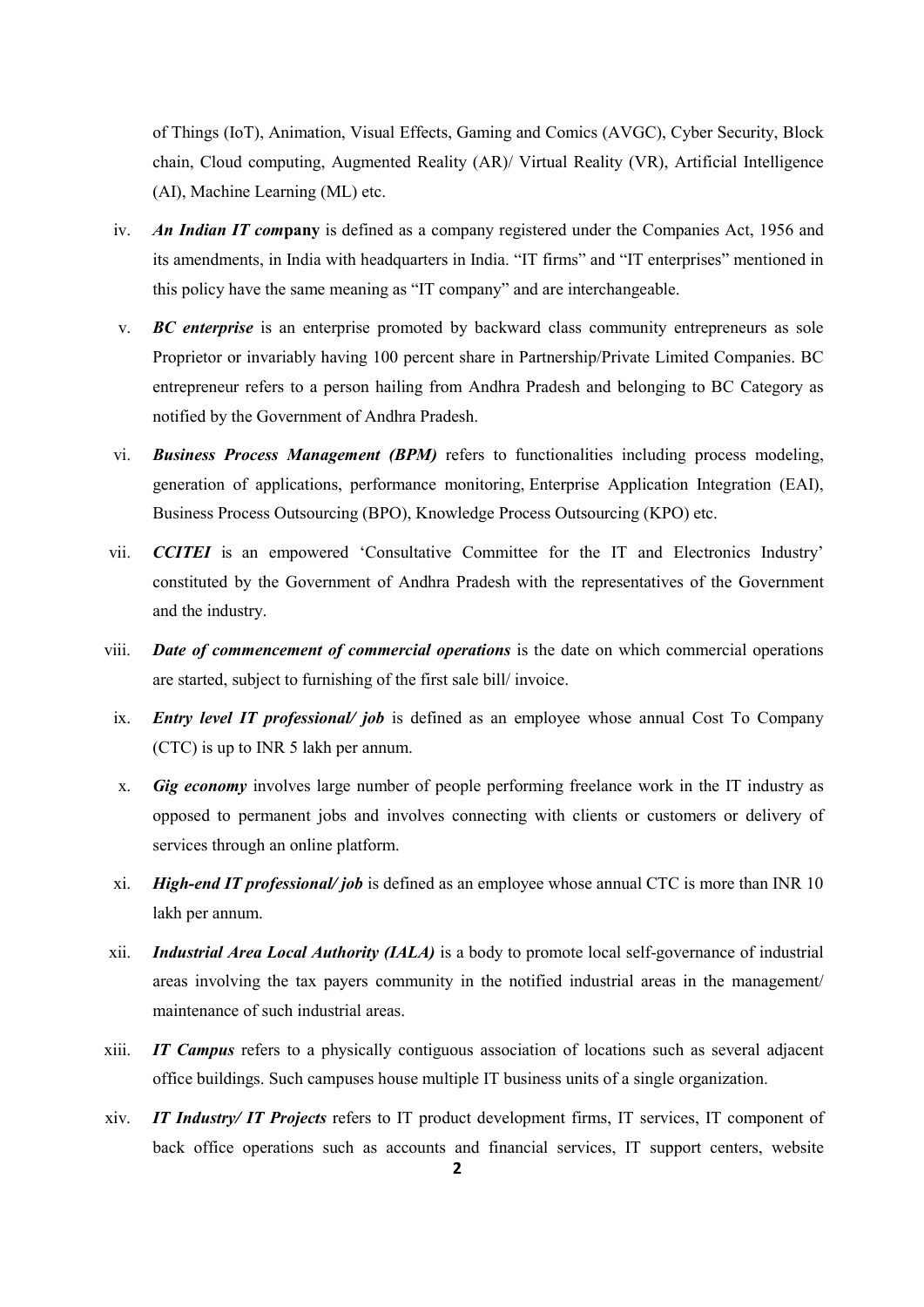of Things (IoT), Animation, Visual Effects, Gaming and Comics (AVGC), Cyber Security, Block chain, Cloud computing, Augmented Reality (AR)/ Virtual Reality (VR), Artificial Intelligence (AI), Machine Learning (ML) etc.

- iv. *An Indian IT com***pany** is defined as a company registered under the Companies Act, 1956 and its amendments, in India with headquarters in India. "IT firms" and "IT enterprises" mentioned in this policy have the same meaning as "IT company" and are interchangeable.
- v. *BC enterprise* is an enterprise promoted by backward class community entrepreneurs as sole Proprietor or invariably having 100 percent share in Partnership/Private Limited Companies. BC entrepreneur refers to a person hailing from Andhra Pradesh and belonging to BC Category as notified by the Government of Andhra Pradesh.
- vi. *Business Process Management (BPM)* refers to functionalities including process modeling, generation of applications, performance monitoring, Enterprise Application Integration (EAI), Business Process Outsourcing (BPO), Knowledge Process Outsourcing (KPO) etc.
- vii. *CCITEI* is an empowered 'Consultative Committee for the IT and Electronics Industry' constituted by the Government of Andhra Pradesh with the representatives of the Government and the industry.
- viii. *Date of commencement of commercial operations* is the date on which commercial operations are started, subject to furnishing of the first sale bill/ invoice.
- ix. *Entry level IT professional/ job* is defined as an employee whose annual Cost To Company (CTC) is up to INR 5 lakh per annum.
- x. *Gig economy* involves large number of people performing freelance work in the IT industry as opposed to permanent jobs and involves connecting with clients or customers or delivery of services through an online platform.
- xi. *High-end IT professional/ job* is defined as an employee whose annual CTC is more than INR 10 lakh per annum.
- xii. *Industrial Area Local Authority (IALA)* is a body to promote local self-governance of industrial areas involving the tax payers community in the notified industrial areas in the management/ maintenance of such industrial areas.
- xiii. *IT Campus* refers to a physically contiguous association of locations such as several adjacent office buildings. Such campuses house multiple IT business units of a single organization.
- xiv. *IT Industry/ IT Projects* refers to IT product development firms, IT services, IT component of back office operations such as accounts and financial services, IT support centers, website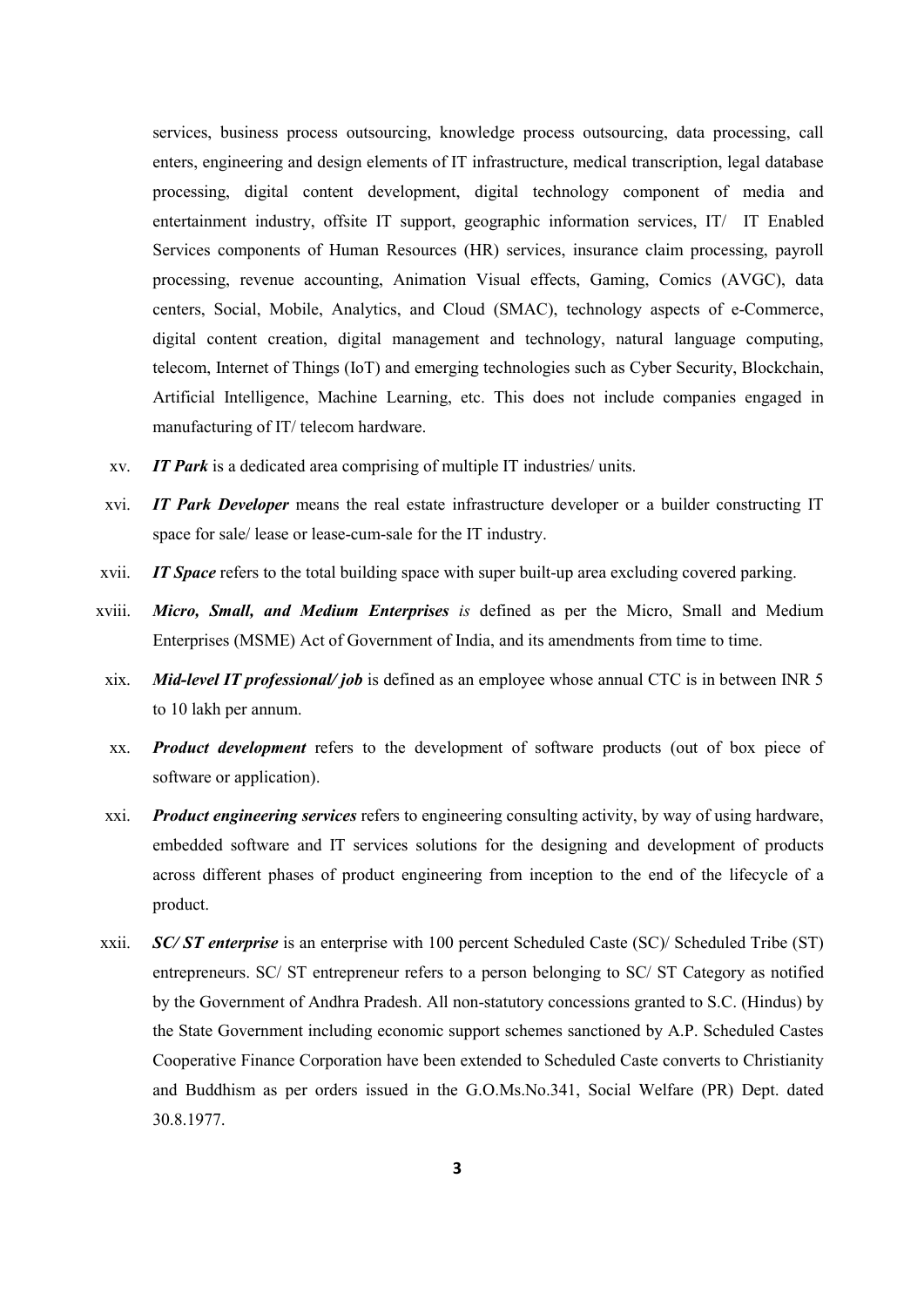services, business process outsourcing, knowledge process outsourcing, data processing, call enters, engineering and design elements of IT infrastructure, medical transcription, legal database processing, digital content development, digital technology component of media and entertainment industry, offsite IT support, geographic information services, IT/ IT Enabled Services components of Human Resources (HR) services, insurance claim processing, payroll processing, revenue accounting, Animation Visual effects, Gaming, Comics (AVGC), data centers, Social, Mobile, Analytics, and Cloud (SMAC), technology aspects of e-Commerce, digital content creation, digital management and technology, natural language computing, telecom, Internet of Things (IoT) and emerging technologies such as Cyber Security, Blockchain, Artificial Intelligence, Machine Learning, etc. This does not include companies engaged in manufacturing of IT/ telecom hardware.

- xv. *IT Park* is a dedicated area comprising of multiple IT industries/ units.
- xvi. *IT Park Developer* means the real estate infrastructure developer or a builder constructing IT space for sale/ lease or lease-cum-sale for the IT industry.
- xvii. *IT Space* refers to the total building space with super built-up area excluding covered parking.
- xviii. *Micro, Small, and Medium Enterprises is* defined as per the Micro, Small and Medium Enterprises (MSME) Act of Government of India, and its amendments from time to time.
- xix. *Mid-level IT professional/ job* is defined as an employee whose annual CTC is in between INR 5 to 10 lakh per annum.
- xx. *Product development* refers to the development of software products (out of box piece of software or application).
- xxi. *Product engineering services* refers to engineering consulting activity, by way of using hardware, embedded software and IT services solutions for the designing and development of products across different phases of product engineering from inception to the end of the lifecycle of a product.
- xxii. *SC/ ST enterprise* is an enterprise with 100 percent Scheduled Caste (SC)/ Scheduled Tribe (ST) entrepreneurs. SC/ ST entrepreneur refers to a person belonging to SC/ ST Category as notified by the Government of Andhra Pradesh. All non-statutory concessions granted to S.C. (Hindus) by the State Government including economic support schemes sanctioned by A.P. Scheduled Castes Cooperative Finance Corporation have been extended to Scheduled Caste converts to Christianity and Buddhism as per orders issued in the G.O.Ms.No.341, Social Welfare (PR) Dept. dated 30.8.1977.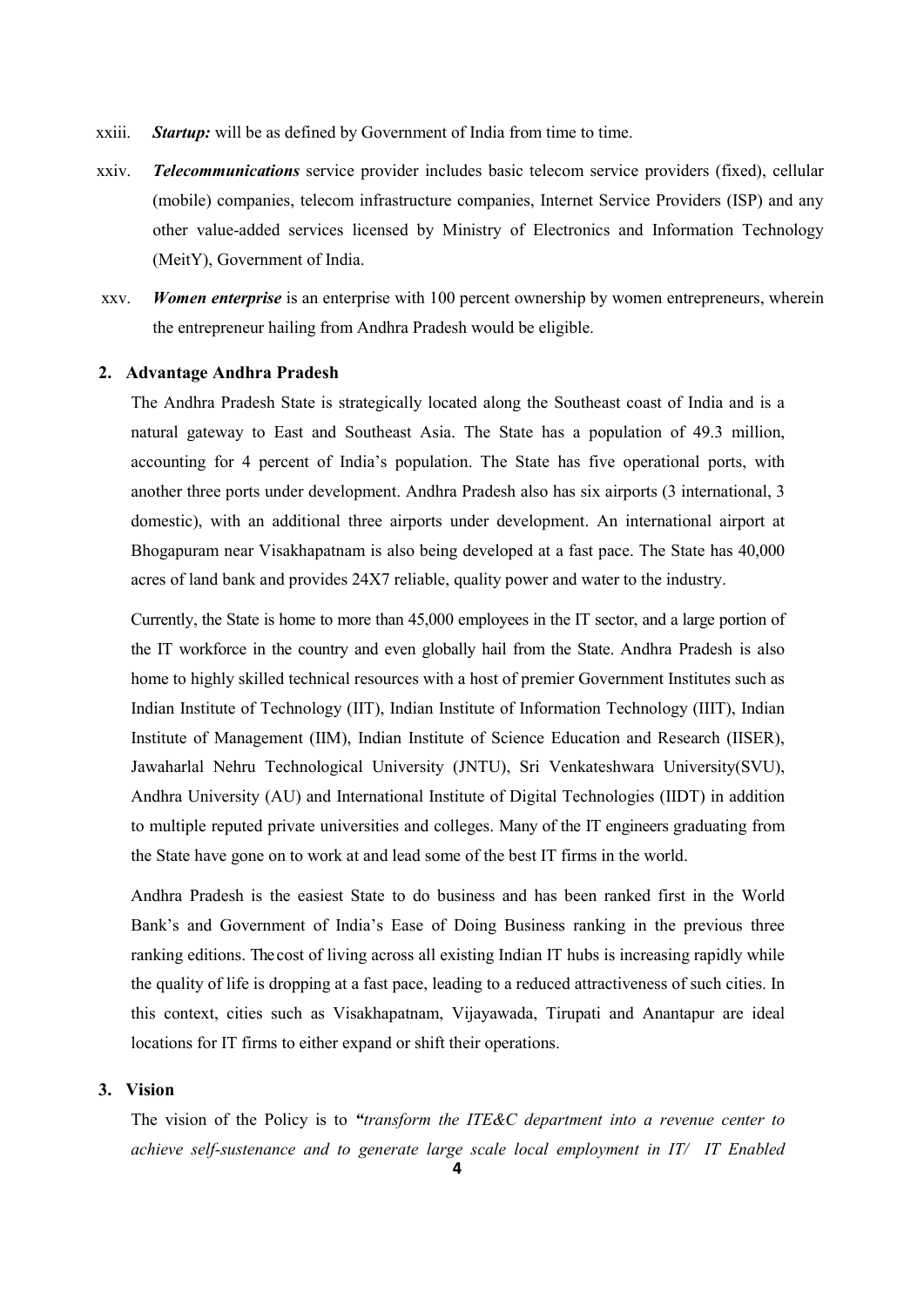- xxiii. *Startup:* will be as defined by Government of India from time to time.
- xxiv. *Telecommunications* service provider includes basic telecom service providers (fixed), cellular (mobile) companies, telecom infrastructure companies, Internet Service Providers (ISP) and any other value-added services licensed by Ministry of Electronics and Information Technology (MeitY), Government of India.
- xxv. *Women enterprise* is an enterprise with 100 percent ownership by women entrepreneurs, wherein the entrepreneur hailing from Andhra Pradesh would be eligible.

#### **2. Advantage Andhra Pradesh**

The Andhra Pradesh State is strategically located along the Southeast coast of India and is a natural gateway to East and Southeast Asia. The State has a population of 49.3 million, accounting for 4 percent of India's population. The State has five operational ports, with another three ports under development. Andhra Pradesh also has six airports (3 international, 3 domestic), with an additional three airports under development. An international airport at Bhogapuram near Visakhapatnam is also being developed at a fast pace. The State has 40,000 acres of land bank and provides 24X7 reliable, quality power and water to the industry.

Currently, the State is home to more than 45,000 employees in the IT sector, and a large portion of the IT workforce in the country and even globally hail from the State. Andhra Pradesh is also home to highly skilled technical resources with a host of premier Government Institutes such as Indian Institute of Technology (IIT), Indian Institute of Information Technology (IIIT), Indian Institute of Management (IIM), Indian Institute of Science Education and Research (IISER), Jawaharlal Nehru Technological University (JNTU), Sri Venkateshwara University(SVU), Andhra University (AU) and International Institute of Digital Technologies (IIDT) in addition to multiple reputed private universities and colleges. Many of the IT engineers graduating from the State have gone on to work at and lead some of the best IT firms in the world.

Andhra Pradesh is the easiest State to do business and has been ranked first in the World Bank's and Government of India's Ease of Doing Business ranking in the previous three ranking editions. The cost of living across all existing Indian IT hubs is increasing rapidly while the quality of life is dropping at a fast pace, leading to a reduced attractiveness of such cities. In this context, cities such as Visakhapatnam, Vijayawada, Tirupati and Anantapur are ideal locations for IT firms to either expand or shift their operations.

#### **3. Vision**

The vision of the Policy is to *"transform the ITE&C department into a revenue center to achieve self-sustenance and to generate large scale local employment in IT/ IT Enabled*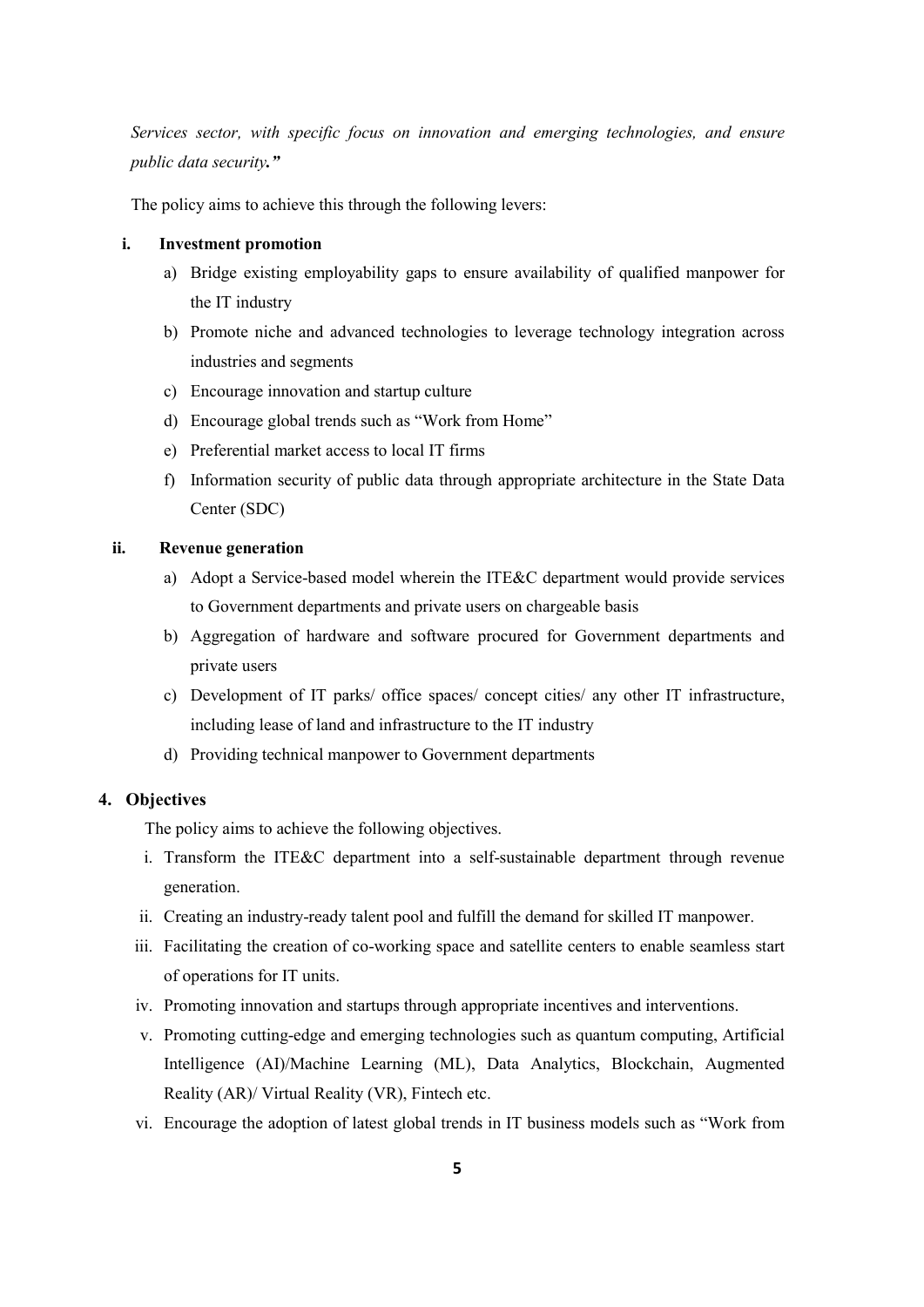*Services sector, with specific focus on innovation and emerging technologies, and ensure public data security."* 

The policy aims to achieve this through the following levers:

#### **i. Investment promotion**

- a) Bridge existing employability gaps to ensure availability of qualified manpower for the IT industry
- b) Promote niche and advanced technologies to leverage technology integration across industries and segments
- c) Encourage innovation and startup culture
- d) Encourage global trends such as "Work from Home"
- e) Preferential market access to local IT firms
- f) Information security of public data through appropriate architecture in the State Data Center (SDC)

#### **ii. Revenue generation**

- a) Adopt a Service-based model wherein the ITE&C department would provide services to Government departments and private users on chargeable basis
- b) Aggregation of hardware and software procured for Government departments and private users
- c) Development of IT parks/ office spaces/ concept cities/ any other IT infrastructure, including lease of land and infrastructure to the IT industry
- d) Providing technical manpower to Government departments

### **4. Objectives**

The policy aims to achieve the following objectives.

- i. Transform the ITE&C department into a self-sustainable department through revenue generation.
- ii. Creating an industry-ready talent pool and fulfill the demand for skilled IT manpower.
- iii. Facilitating the creation of co-working space and satellite centers to enable seamless start of operations for IT units.
- iv. Promoting innovation and startups through appropriate incentives and interventions.
- v. Promoting cutting-edge and emerging technologies such as quantum computing, Artificial Intelligence (AI)/Machine Learning (ML), Data Analytics, Blockchain, Augmented Reality (AR)/ Virtual Reality (VR), Fintech etc.
- vi. Encourage the adoption of latest global trends in IT business models such as "Work from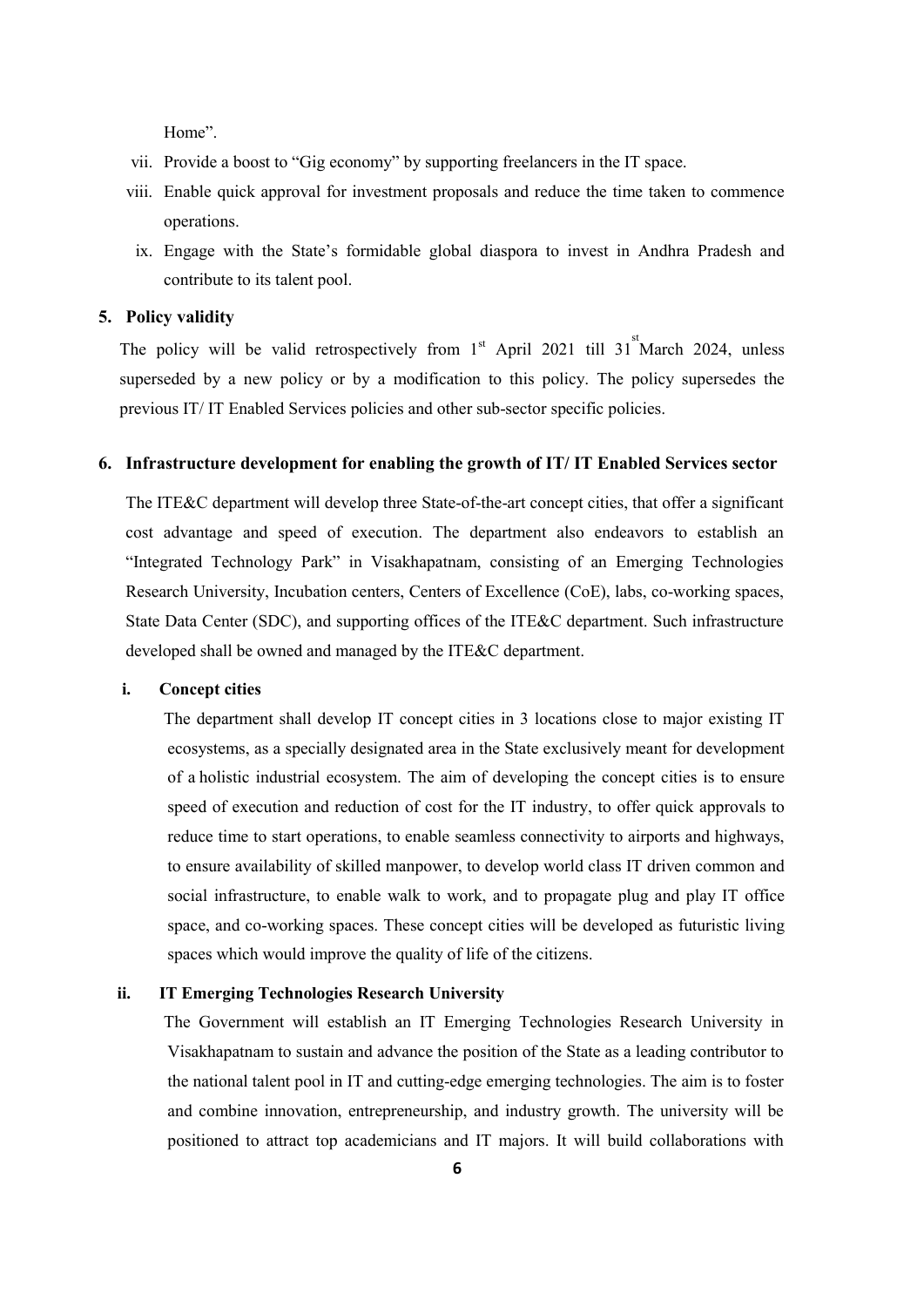Home".

- vii. Provide a boost to "Gig economy" by supporting freelancers in the IT space.
- viii. Enable quick approval for investment proposals and reduce the time taken to commence operations.
- ix. Engage with the State's formidable global diaspora to invest in Andhra Pradesh and contribute to its talent pool.

#### **5. Policy validity**

The policy will be valid retrospectively from  $1<sup>st</sup>$  April 2021 till 31<sup>st</sup> March 2024, unless superseded by a new policy or by a modification to this policy. The policy supersedes the previous IT/ IT Enabled Services policies and other sub-sector specific policies.

#### **6. Infrastructure development for enabling the growth of IT/ IT Enabled Services sector**

The ITE&C department will develop three State-of-the-art concept cities, that offer a significant cost advantage and speed of execution. The department also endeavors to establish an "Integrated Technology Park" in Visakhapatnam, consisting of an Emerging Technologies Research University, Incubation centers, Centers of Excellence (CoE), labs, co-working spaces, State Data Center (SDC), and supporting offices of the ITE&C department. Such infrastructure developed shall be owned and managed by the ITE&C department.

#### **i. Concept cities**

The department shall develop IT concept cities in 3 locations close to major existing IT ecosystems, as a specially designated area in the State exclusively meant for development of a holistic industrial ecosystem. The aim of developing the concept cities is to ensure speed of execution and reduction of cost for the IT industry, to offer quick approvals to reduce time to start operations, to enable seamless connectivity to airports and highways, to ensure availability of skilled manpower, to develop world class IT driven common and social infrastructure, to enable walk to work, and to propagate plug and play IT office space, and co-working spaces. These concept cities will be developed as futuristic living spaces which would improve the quality of life of the citizens.

#### **ii. IT Emerging Technologies Research University**

The Government will establish an IT Emerging Technologies Research University in Visakhapatnam to sustain and advance the position of the State as a leading contributor to the national talent pool in IT and cutting-edge emerging technologies. The aim is to foster and combine innovation, entrepreneurship, and industry growth. The university will be positioned to attract top academicians and IT majors. It will build collaborations with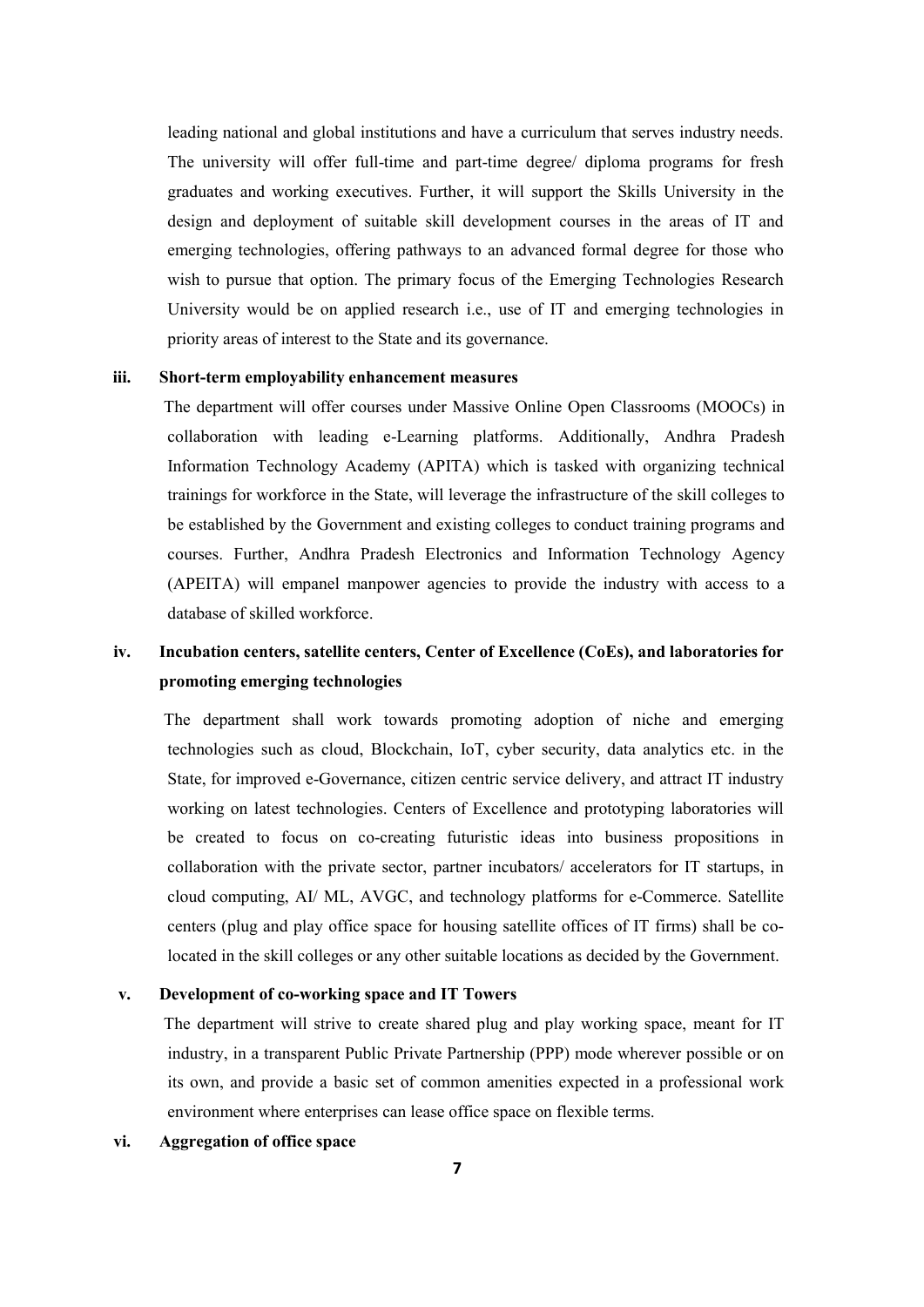leading national and global institutions and have a curriculum that serves industry needs. The university will offer full-time and part-time degree/ diploma programs for fresh graduates and working executives. Further, it will support the Skills University in the design and deployment of suitable skill development courses in the areas of IT and emerging technologies, offering pathways to an advanced formal degree for those who wish to pursue that option. The primary focus of the Emerging Technologies Research University would be on applied research i.e., use of IT and emerging technologies in priority areas of interest to the State and its governance.

#### **iii. Short-term employability enhancement measures**

The department will offer courses under Massive Online Open Classrooms (MOOCs) in collaboration with leading e-Learning platforms. Additionally, Andhra Pradesh Information Technology Academy (APITA) which is tasked with organizing technical trainings for workforce in the State, will leverage the infrastructure of the skill colleges to be established by the Government and existing colleges to conduct training programs and courses. Further, Andhra Pradesh Electronics and Information Technology Agency (APEITA) will empanel manpower agencies to provide the industry with access to a database of skilled workforce.

# **iv. Incubation centers, satellite centers, Center of Excellence (CoEs), and laboratories for promoting emerging technologies**

The department shall work towards promoting adoption of niche and emerging technologies such as cloud, Blockchain, IoT, cyber security, data analytics etc. in the State, for improved e-Governance, citizen centric service delivery, and attract IT industry working on latest technologies. Centers of Excellence and prototyping laboratories will be created to focus on co-creating futuristic ideas into business propositions in collaboration with the private sector, partner incubators/ accelerators for IT startups, in cloud computing, AI/ ML, AVGC, and technology platforms for e-Commerce. Satellite centers (plug and play office space for housing satellite offices of IT firms) shall be colocated in the skill colleges or any other suitable locations as decided by the Government.

#### **v. Development of co-working space and IT Towers**

The department will strive to create shared plug and play working space, meant for IT industry, in a transparent Public Private Partnership (PPP) mode wherever possible or on its own, and provide a basic set of common amenities expected in a professional work environment where enterprises can lease office space on flexible terms.

#### **vi. Aggregation of office space**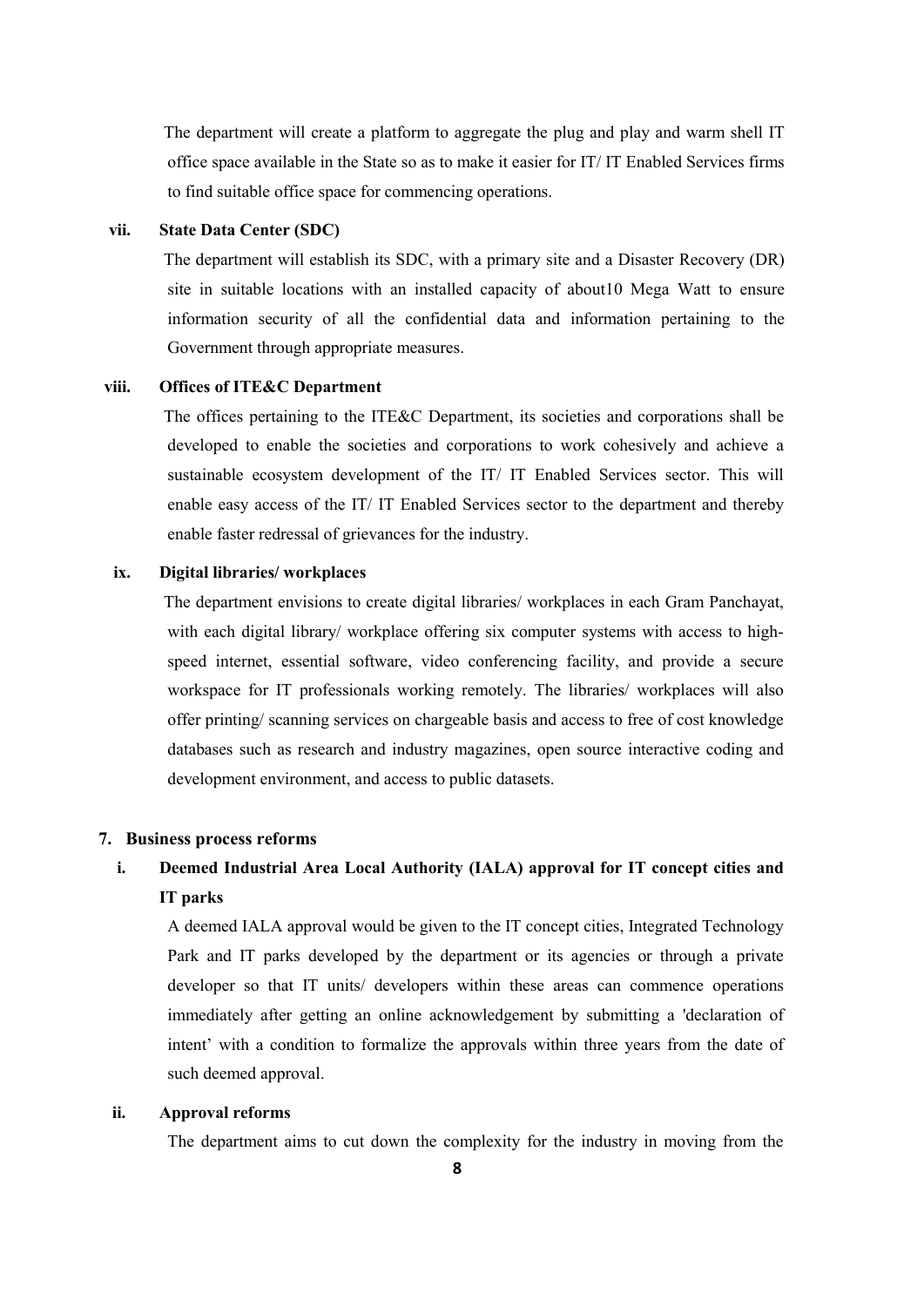The department will create a platform to aggregate the plug and play and warm shell IT office space available in the State so as to make it easier for IT/ IT Enabled Services firms to find suitable office space for commencing operations.

#### **vii. State Data Center (SDC)**

The department will establish its SDC, with a primary site and a Disaster Recovery (DR) site in suitable locations with an installed capacity of about10 Mega Watt to ensure information security of all the confidential data and information pertaining to the Government through appropriate measures.

#### **viii. Offices of ITE&C Department**

The offices pertaining to the ITE&C Department, its societies and corporations shall be developed to enable the societies and corporations to work cohesively and achieve a sustainable ecosystem development of the IT/ IT Enabled Services sector. This will enable easy access of the IT/ IT Enabled Services sector to the department and thereby enable faster redressal of grievances for the industry.

#### **ix. Digital libraries/ workplaces**

The department envisions to create digital libraries/ workplaces in each Gram Panchayat, with each digital library/ workplace offering six computer systems with access to highspeed internet, essential software, video conferencing facility, and provide a secure workspace for IT professionals working remotely. The libraries/ workplaces will also offer printing/ scanning services on chargeable basis and access to free of cost knowledge databases such as research and industry magazines, open source interactive coding and development environment, and access to public datasets.

### **7. Business process reforms**

# **i. Deemed Industrial Area Local Authority (IALA) approval for IT concept cities and IT parks**

A deemed IALA approval would be given to the IT concept cities, Integrated Technology Park and IT parks developed by the department or its agencies or through a private developer so that IT units/ developers within these areas can commence operations immediately after getting an online acknowledgement by submitting a 'declaration of intent' with a condition to formalize the approvals within three years from the date of such deemed approval.

#### **ii. Approval reforms**

The department aims to cut down the complexity for the industry in moving from the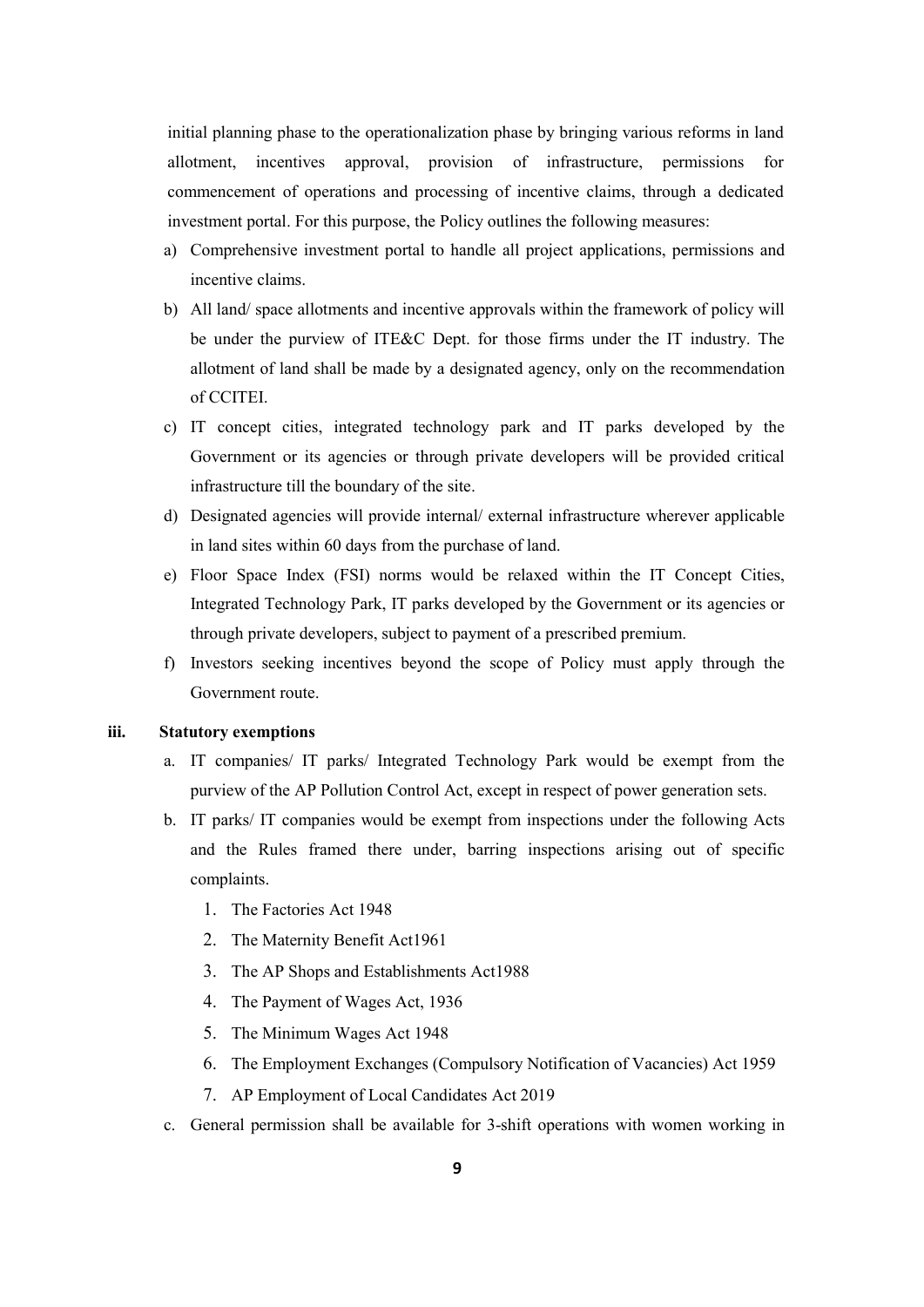initial planning phase to the operationalization phase by bringing various reforms in land allotment, incentives approval, provision of infrastructure, permissions for commencement of operations and processing of incentive claims, through a dedicated investment portal. For this purpose, the Policy outlines the following measures:

- a) Comprehensive investment portal to handle all project applications, permissions and incentive claims.
- b) All land/ space allotments and incentive approvals within the framework of policy will be under the purview of ITE&C Dept. for those firms under the IT industry. The allotment of land shall be made by a designated agency, only on the recommendation of CCITEI.
- c) IT concept cities, integrated technology park and IT parks developed by the Government or its agencies or through private developers will be provided critical infrastructure till the boundary of the site.
- d) Designated agencies will provide internal/ external infrastructure wherever applicable in land sites within 60 days from the purchase of land.
- e) Floor Space Index (FSI) norms would be relaxed within the IT Concept Cities, Integrated Technology Park, IT parks developed by the Government or its agencies or through private developers, subject to payment of a prescribed premium.
- f) Investors seeking incentives beyond the scope of Policy must apply through the Government route.

#### **iii. Statutory exemptions**

- a. IT companies/ IT parks/ Integrated Technology Park would be exempt from the purview of the AP Pollution Control Act, except in respect of power generation sets.
- b. IT parks/ IT companies would be exempt from inspections under the following Acts and the Rules framed there under, barring inspections arising out of specific complaints.
	- 1. The Factories Act 1948
	- 2. The Maternity Benefit Act1961
	- 3. The AP Shops and Establishments Act1988
	- 4. The Payment of Wages Act, 1936
	- 5. The Minimum Wages Act 1948
	- 6. The Employment Exchanges (Compulsory Notification of Vacancies) Act 1959
	- 7. AP Employment of Local Candidates Act 2019
- c. General permission shall be available for 3-shift operations with women working in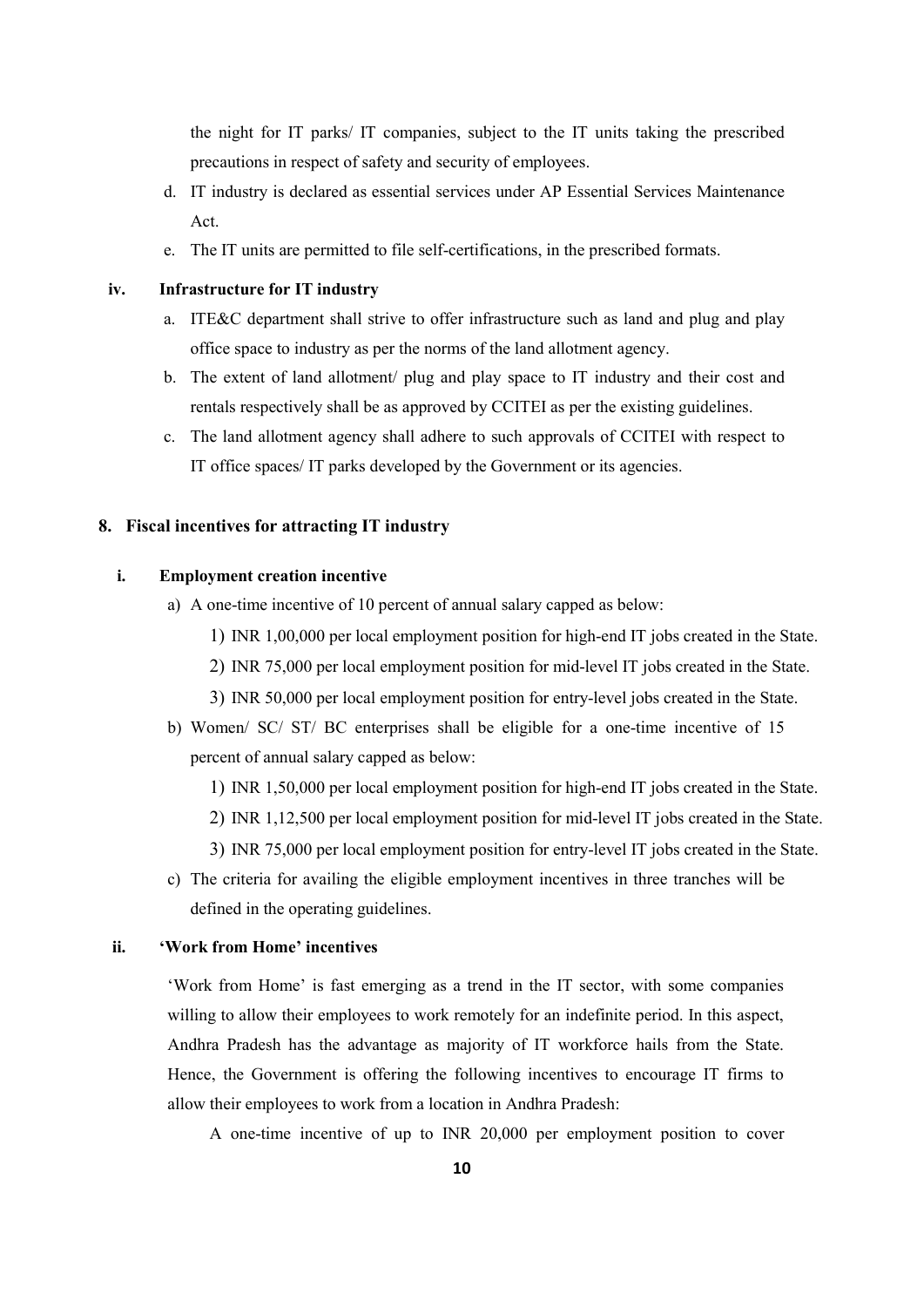the night for IT parks/ IT companies, subject to the IT units taking the prescribed precautions in respect of safety and security of employees.

- d. IT industry is declared as essential services under AP Essential Services Maintenance Act.
- e. The IT units are permitted to file self-certifications, in the prescribed formats.

**iv. Infrastructure for IT industry** 

- a. ITE&C department shall strive to offer infrastructure such as land and plug and play office space to industry as per the norms of the land allotment agency.
- b. The extent of land allotment/ plug and play space to IT industry and their cost and rentals respectively shall be as approved by CCITEI as per the existing guidelines.
- c. The land allotment agency shall adhere to such approvals of CCITEI with respect to IT office spaces/ IT parks developed by the Government or its agencies.

### **8. Fiscal incentives for attracting IT industry**

# **i. Employment creation incentive**

- a) A one-time incentive of 10 percent of annual salary capped as below:
	- 1) INR 1,00,000 per local employment position for high-end IT jobs created in the State.
	- 2) INR 75,000 per local employment position for mid-level IT jobs created in the State.
	- 3) INR 50,000 per local employment position for entry-level jobs created in the State.
- b) Women/ SC/ ST/ BC enterprises shall be eligible for a one-time incentive of 15 percent of annual salary capped as below:
	- 1) INR 1,50,000 per local employment position for high-end IT jobs created in the State.
	- 2) INR 1,12,500 per local employment position for mid-level IT jobs created in the State.
	- 3) INR 75,000 per local employment position for entry-level IT jobs created in the State.
- c) The criteria for availing the eligible employment incentives in three tranches will be defined in the operating guidelines.

#### **ii. 'Work from Home' incentives**

'Work from Home' is fast emerging as a trend in the IT sector, with some companies willing to allow their employees to work remotely for an indefinite period. In this aspect, Andhra Pradesh has the advantage as majority of IT workforce hails from the State. Hence, the Government is offering the following incentives to encourage IT firms to allow their employees to work from a location in Andhra Pradesh:

A one-time incentive of up to INR 20,000 per employment position to cover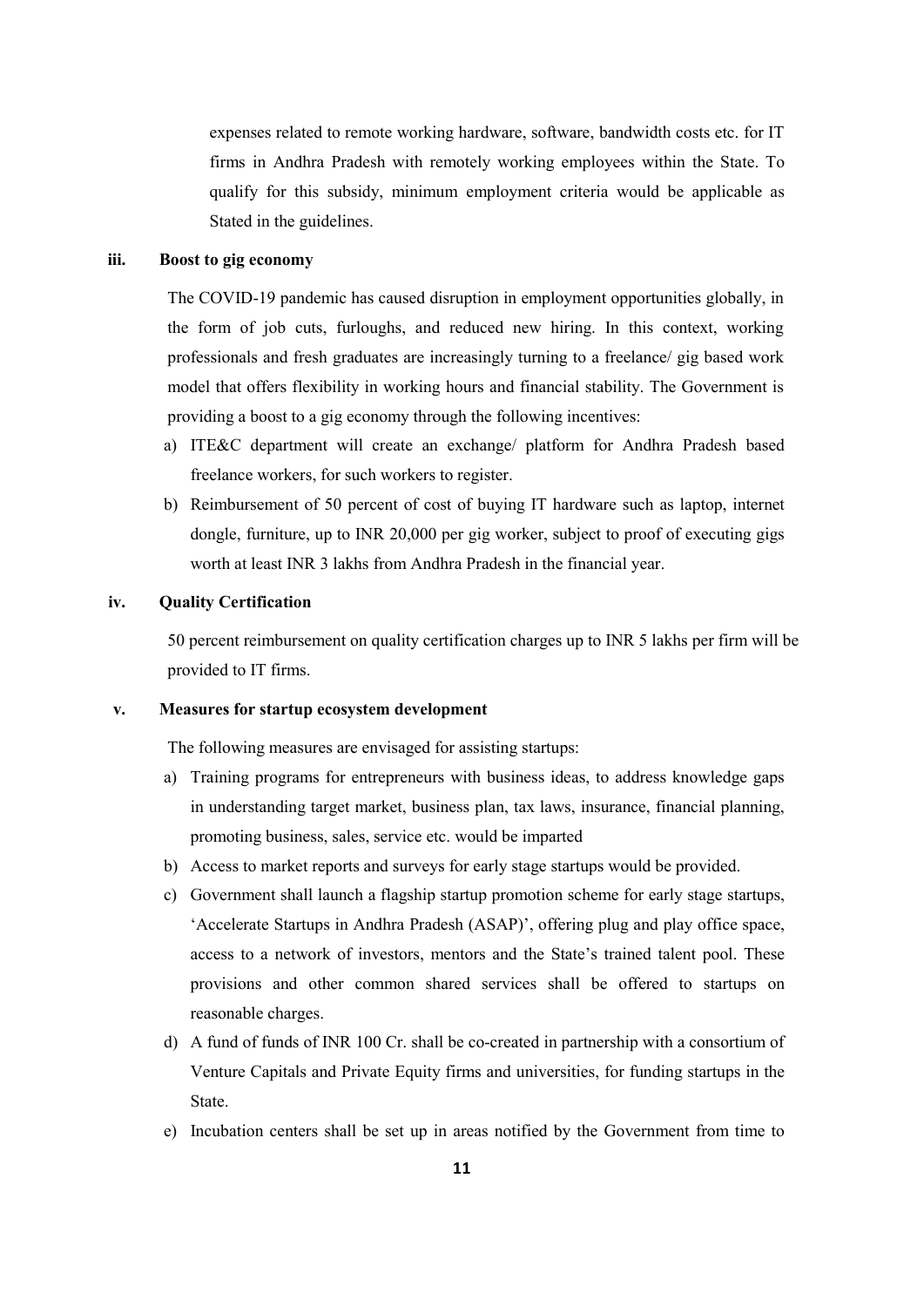expenses related to remote working hardware, software, bandwidth costs etc. for IT firms in Andhra Pradesh with remotely working employees within the State. To qualify for this subsidy, minimum employment criteria would be applicable as Stated in the guidelines.

#### **iii. Boost to gig economy**

The COVID-19 pandemic has caused disruption in employment opportunities globally, in the form of job cuts, furloughs, and reduced new hiring. In this context, working professionals and fresh graduates are increasingly turning to a freelance/ gig based work model that offers flexibility in working hours and financial stability. The Government is providing a boost to a gig economy through the following incentives:

- a) ITE&C department will create an exchange/ platform for Andhra Pradesh based freelance workers, for such workers to register.
- b) Reimbursement of 50 percent of cost of buying IT hardware such as laptop, internet dongle, furniture, up to INR 20,000 per gig worker, subject to proof of executing gigs worth at least INR 3 lakhs from Andhra Pradesh in the financial year.

#### **iv. Quality Certification**

50 percent reimbursement on quality certification charges up to INR 5 lakhs per firm will be provided to IT firms.

#### **v. Measures for startup ecosystem development**

The following measures are envisaged for assisting startups:

- a) Training programs for entrepreneurs with business ideas, to address knowledge gaps in understanding target market, business plan, tax laws, insurance, financial planning, promoting business, sales, service etc. would be imparted
- b) Access to market reports and surveys for early stage startups would be provided.
- c) Government shall launch a flagship startup promotion scheme for early stage startups, 'Accelerate Startups in Andhra Pradesh (ASAP)', offering plug and play office space, access to a network of investors, mentors and the State's trained talent pool. These provisions and other common shared services shall be offered to startups on reasonable charges.
- d) A fund of funds of INR 100 Cr. shall be co-created in partnership with a consortium of Venture Capitals and Private Equity firms and universities, for funding startups in the State.
- e) Incubation centers shall be set up in areas notified by the Government from time to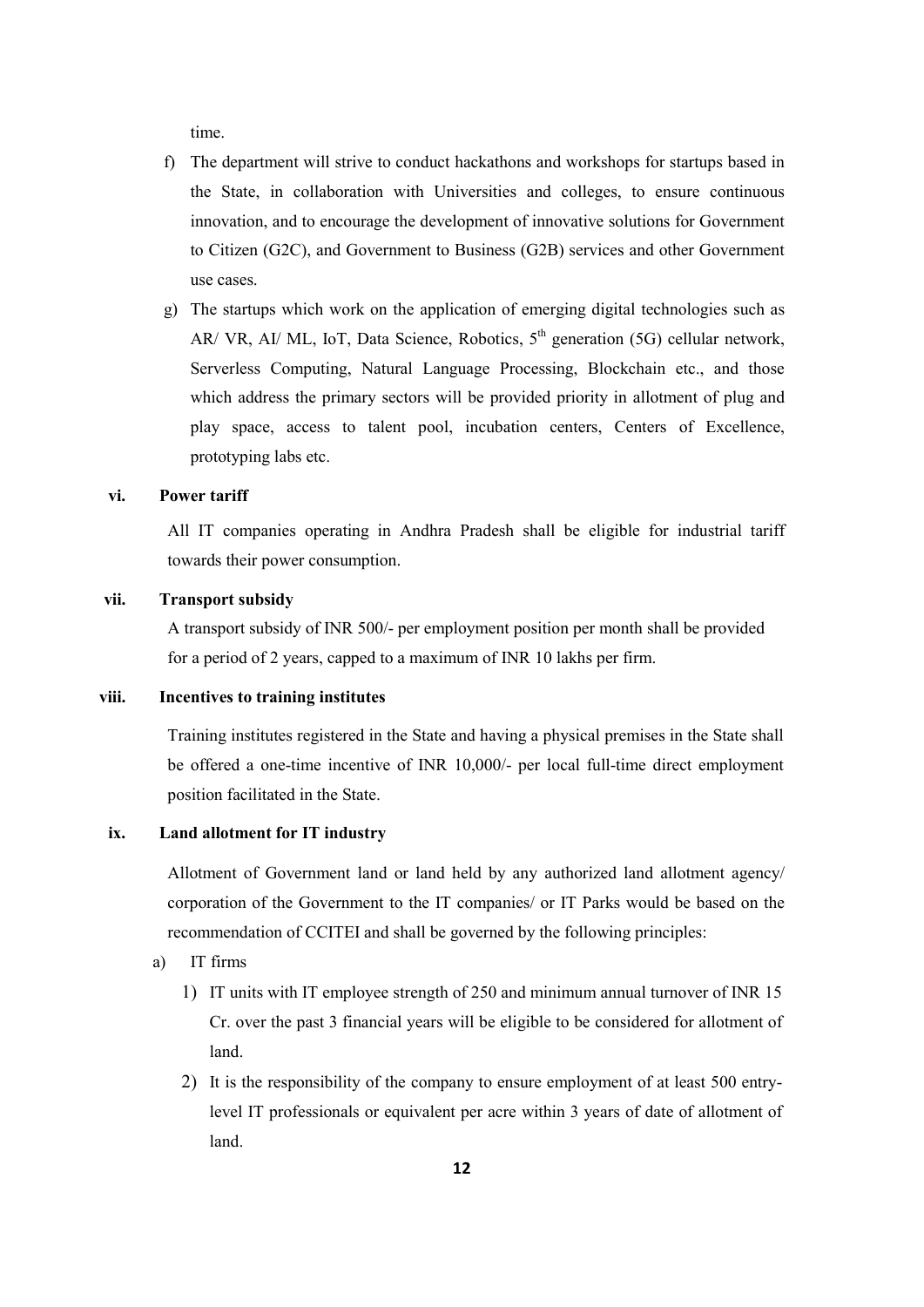time.

- f) The department will strive to conduct hackathons and workshops for startups based in the State, in collaboration with Universities and colleges, to ensure continuous innovation, and to encourage the development of innovative solutions for Government to Citizen (G2C), and Government to Business (G2B) services and other Government use cases.
- g) The startups which work on the application of emerging digital technologies such as AR/ VR, AI/ ML, IoT, Data Science, Robotics,  $5<sup>th</sup>$  generation (5G) cellular network, Serverless Computing, Natural Language Processing, Blockchain etc., and those which address the primary sectors will be provided priority in allotment of plug and play space, access to talent pool, incubation centers, Centers of Excellence, prototyping labs etc.

#### **vi. Power tariff**

All IT companies operating in Andhra Pradesh shall be eligible for industrial tariff towards their power consumption.

#### **vii. Transport subsidy**

A transport subsidy of INR 500/- per employment position per month shall be provided for a period of 2 years, capped to a maximum of INR 10 lakhs per firm.

#### **viii. Incentives to training institutes**

Training institutes registered in the State and having a physical premises in the State shall be offered a one-time incentive of INR 10,000/- per local full-time direct employment position facilitated in the State.

#### **ix. Land allotment for IT industry**

Allotment of Government land or land held by any authorized land allotment agency/ corporation of the Government to the IT companies/ or IT Parks would be based on the recommendation of CCITEI and shall be governed by the following principles:

- a) IT firms
	- 1) IT units with IT employee strength of 250 and minimum annual turnover of INR 15 Cr. over the past 3 financial years will be eligible to be considered for allotment of land.
	- 2) It is the responsibility of the company to ensure employment of at least 500 entrylevel IT professionals or equivalent per acre within 3 years of date of allotment of land.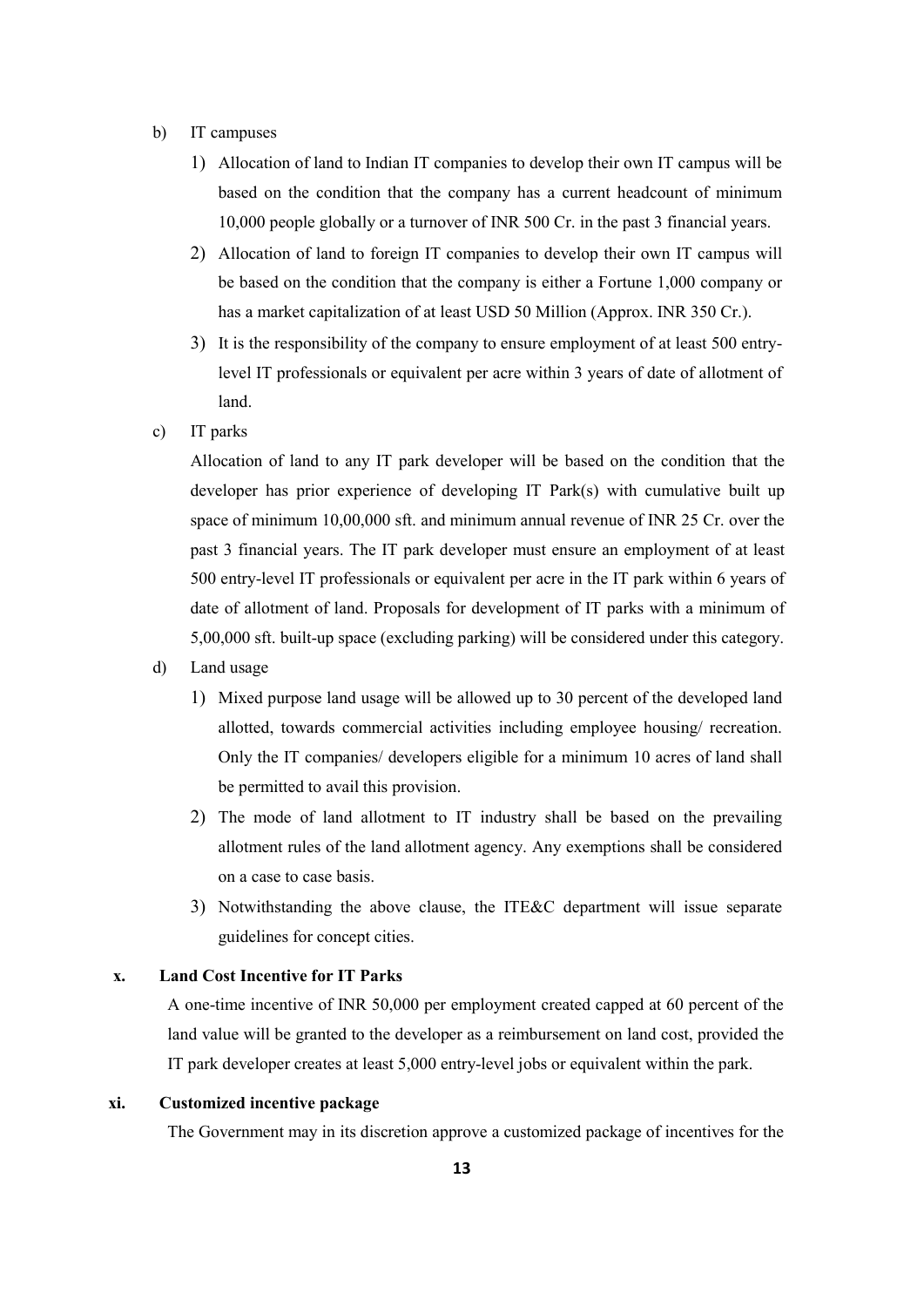- b) IT campuses
	- 1) Allocation of land to Indian IT companies to develop their own IT campus will be based on the condition that the company has a current headcount of minimum 10,000 people globally or a turnover of INR 500 Cr. in the past 3 financial years.
	- 2) Allocation of land to foreign IT companies to develop their own IT campus will be based on the condition that the company is either a Fortune 1,000 company or has a market capitalization of at least USD 50 Million (Approx. INR 350 Cr.).
	- 3) It is the responsibility of the company to ensure employment of at least 500 entrylevel IT professionals or equivalent per acre within 3 years of date of allotment of land.
- c) IT parks

Allocation of land to any IT park developer will be based on the condition that the developer has prior experience of developing IT Park(s) with cumulative built up space of minimum 10,00,000 sft. and minimum annual revenue of INR 25 Cr. over the past 3 financial years. The IT park developer must ensure an employment of at least 500 entry-level IT professionals or equivalent per acre in the IT park within 6 years of date of allotment of land. Proposals for development of IT parks with a minimum of 5,00,000 sft. built-up space (excluding parking) will be considered under this category.

- d) Land usage
	- 1) Mixed purpose land usage will be allowed up to 30 percent of the developed land allotted, towards commercial activities including employee housing/ recreation. Only the IT companies/ developers eligible for a minimum 10 acres of land shall be permitted to avail this provision.
	- 2) The mode of land allotment to IT industry shall be based on the prevailing allotment rules of the land allotment agency. Any exemptions shall be considered on a case to case basis.
	- 3) Notwithstanding the above clause, the ITE&C department will issue separate guidelines for concept cities.

## **x. Land Cost Incentive for IT Parks**

A one-time incentive of INR 50,000 per employment created capped at 60 percent of the land value will be granted to the developer as a reimbursement on land cost, provided the IT park developer creates at least 5,000 entry-level jobs or equivalent within the park.

#### **xi. Customized incentive package**

The Government may in its discretion approve a customized package of incentives for the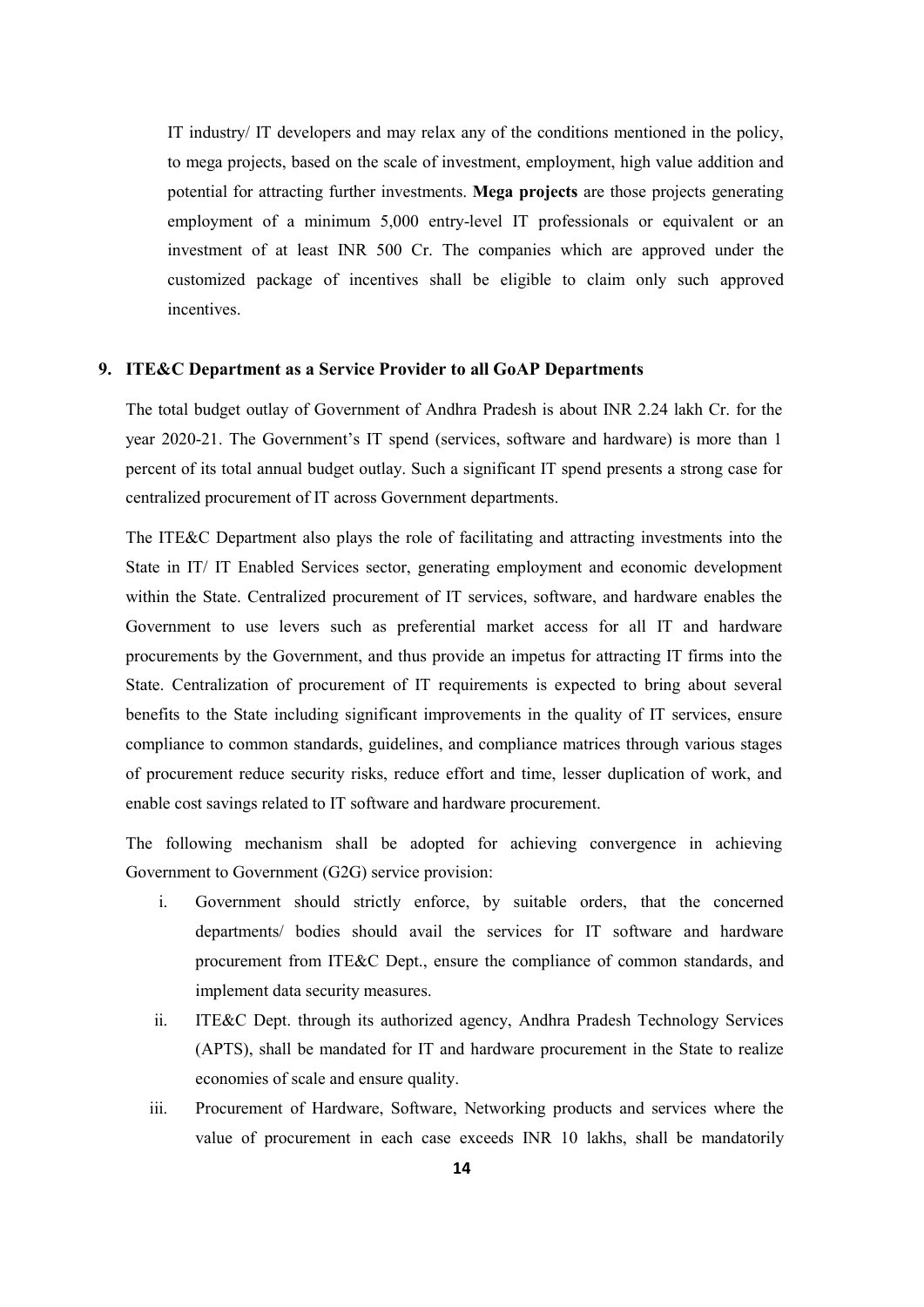IT industry/ IT developers and may relax any of the conditions mentioned in the policy, to mega projects, based on the scale of investment, employment, high value addition and potential for attracting further investments. **Mega projects** are those projects generating employment of a minimum 5,000 entry-level IT professionals or equivalent or an investment of at least INR 500 Cr. The companies which are approved under the customized package of incentives shall be eligible to claim only such approved incentives.

#### **9. ITE&C Department as a Service Provider to all GoAP Departments**

The total budget outlay of Government of Andhra Pradesh is about INR 2.24 lakh Cr. for the year 2020-21. The Government's IT spend (services, software and hardware) is more than 1 percent of its total annual budget outlay. Such a significant IT spend presents a strong case for centralized procurement of IT across Government departments.

The ITE&C Department also plays the role of facilitating and attracting investments into the State in IT/ IT Enabled Services sector, generating employment and economic development within the State. Centralized procurement of IT services, software, and hardware enables the Government to use levers such as preferential market access for all IT and hardware procurements by the Government, and thus provide an impetus for attracting IT firms into the State. Centralization of procurement of IT requirements is expected to bring about several benefits to the State including significant improvements in the quality of IT services, ensure compliance to common standards, guidelines, and compliance matrices through various stages of procurement reduce security risks, reduce effort and time, lesser duplication of work, and enable cost savings related to IT software and hardware procurement.

The following mechanism shall be adopted for achieving convergence in achieving Government to Government (G2G) service provision:

- i. Government should strictly enforce, by suitable orders, that the concerned departments/ bodies should avail the services for IT software and hardware procurement from ITE&C Dept., ensure the compliance of common standards, and implement data security measures.
- ii. ITE&C Dept. through its authorized agency, Andhra Pradesh Technology Services (APTS), shall be mandated for IT and hardware procurement in the State to realize economies of scale and ensure quality.
- iii. Procurement of Hardware, Software, Networking products and services where the value of procurement in each case exceeds INR 10 lakhs, shall be mandatorily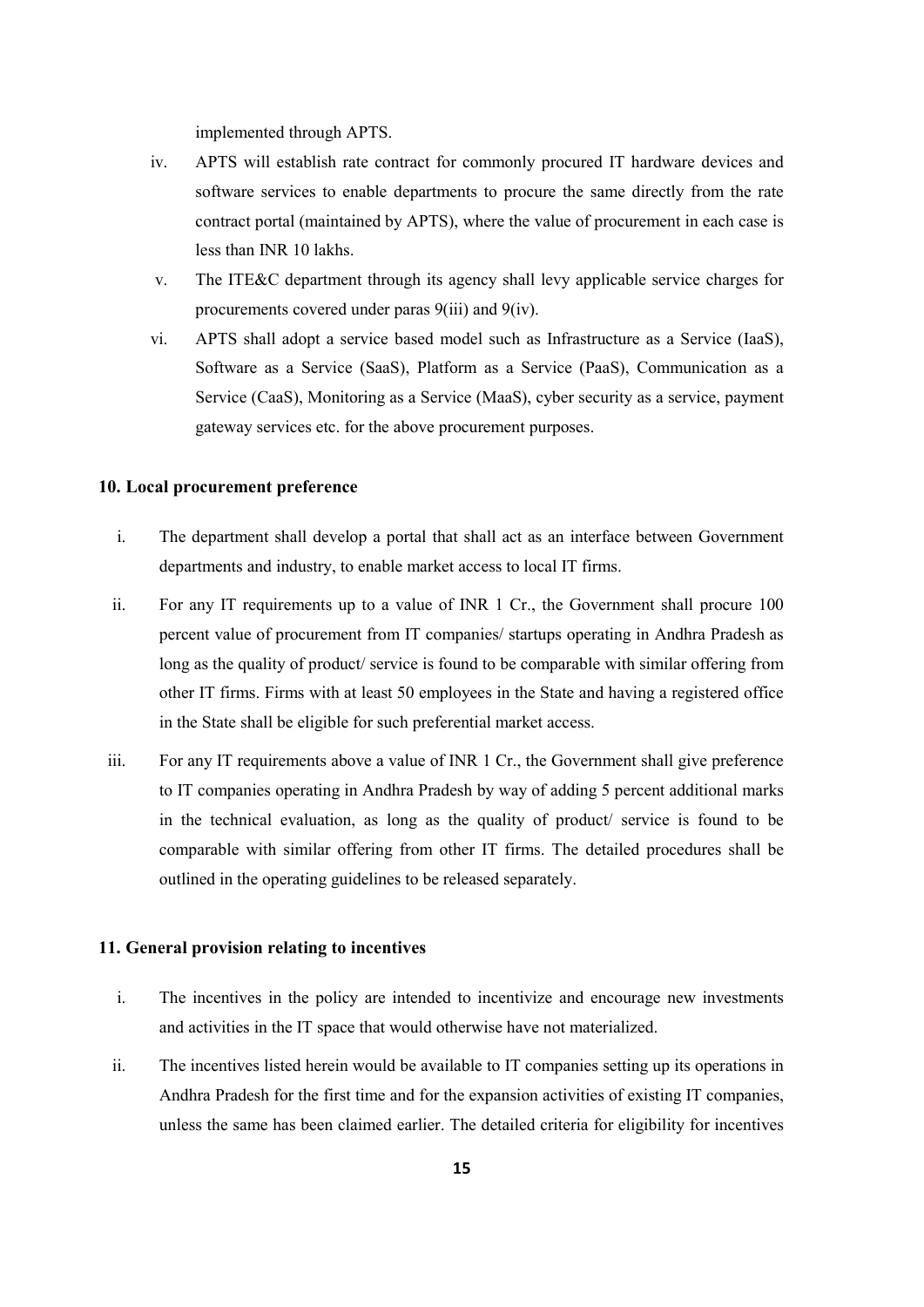implemented through APTS.

- iv. APTS will establish rate contract for commonly procured IT hardware devices and software services to enable departments to procure the same directly from the rate contract portal (maintained by APTS), where the value of procurement in each case is less than INR 10 lakhs.
- v. The ITE&C department through its agency shall levy applicable service charges for procurements covered under paras 9(iii) and 9(iv).
- vi. APTS shall adopt a service based model such as Infrastructure as a Service (IaaS), Software as a Service (SaaS), Platform as a Service (PaaS), Communication as a Service (CaaS), Monitoring as a Service (MaaS), cyber security as a service, payment gateway services etc. for the above procurement purposes.

#### **10. Local procurement preference**

- i. The department shall develop a portal that shall act as an interface between Government departments and industry, to enable market access to local IT firms.
- ii. For any IT requirements up to a value of INR 1 Cr., the Government shall procure 100 percent value of procurement from IT companies/ startups operating in Andhra Pradesh as long as the quality of product/ service is found to be comparable with similar offering from other IT firms. Firms with at least 50 employees in the State and having a registered office in the State shall be eligible for such preferential market access.
- iii. For any IT requirements above a value of INR 1 Cr., the Government shall give preference to IT companies operating in Andhra Pradesh by way of adding 5 percent additional marks in the technical evaluation, as long as the quality of product/ service is found to be comparable with similar offering from other IT firms. The detailed procedures shall be outlined in the operating guidelines to be released separately.

#### **11. General provision relating to incentives**

- i. The incentives in the policy are intended to incentivize and encourage new investments and activities in the IT space that would otherwise have not materialized.
- ii. The incentives listed herein would be available to IT companies setting up its operations in Andhra Pradesh for the first time and for the expansion activities of existing IT companies, unless the same has been claimed earlier. The detailed criteria for eligibility for incentives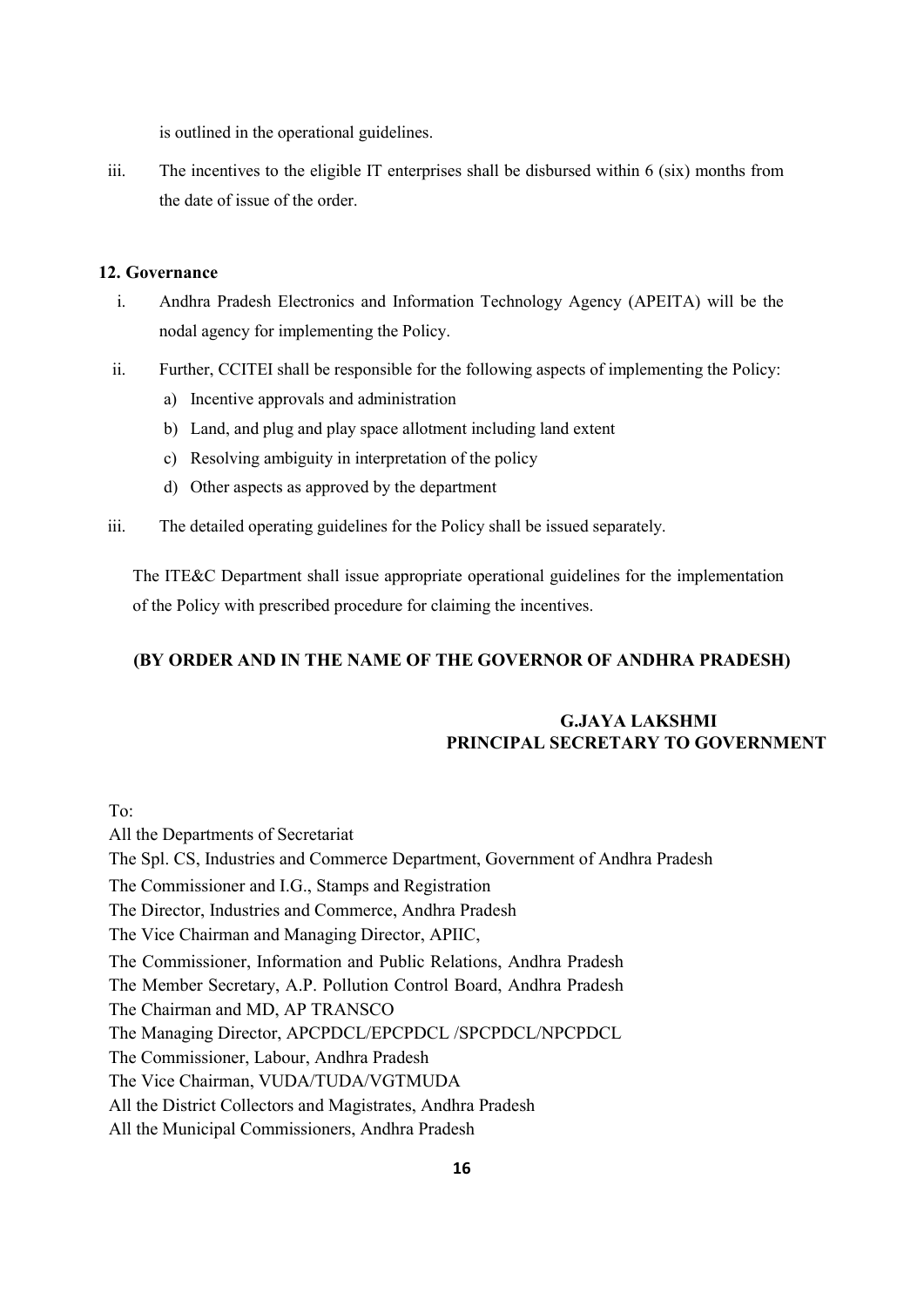is outlined in the operational guidelines.

iii. The incentives to the eligible IT enterprises shall be disbursed within 6 (six) months from the date of issue of the order.

#### **12. Governance**

- i. Andhra Pradesh Electronics and Information Technology Agency (APEITA) will be the nodal agency for implementing the Policy.
- ii. Further, CCITEI shall be responsible for the following aspects of implementing the Policy:
	- a) Incentive approvals and administration
	- b) Land, and plug and play space allotment including land extent
	- c) Resolving ambiguity in interpretation of the policy
	- d) Other aspects as approved by the department
- iii. The detailed operating guidelines for the Policy shall be issued separately.

The ITE&C Department shall issue appropriate operational guidelines for the implementation of the Policy with prescribed procedure for claiming the incentives.

## **(BY ORDER AND IN THE NAME OF THE GOVERNOR OF ANDHRA PRADESH)**

# **G.JAYA LAKSHMI PRINCIPAL SECRETARY TO GOVERNMENT**

To:

All the Departments of Secretariat The Spl. CS, Industries and Commerce Department, Government of Andhra Pradesh The Commissioner and I.G., Stamps and Registration The Director, Industries and Commerce, Andhra Pradesh The Vice Chairman and Managing Director, APIIC, The Commissioner, Information and Public Relations, Andhra Pradesh The Member Secretary, A.P. Pollution Control Board, Andhra Pradesh The Chairman and MD, AP TRANSCO The Managing Director, APCPDCL/EPCPDCL /SPCPDCL/NPCPDCL The Commissioner, Labour, Andhra Pradesh The Vice Chairman, VUDA/TUDA/VGTMUDA All the District Collectors and Magistrates, Andhra Pradesh All the Municipal Commissioners, Andhra Pradesh